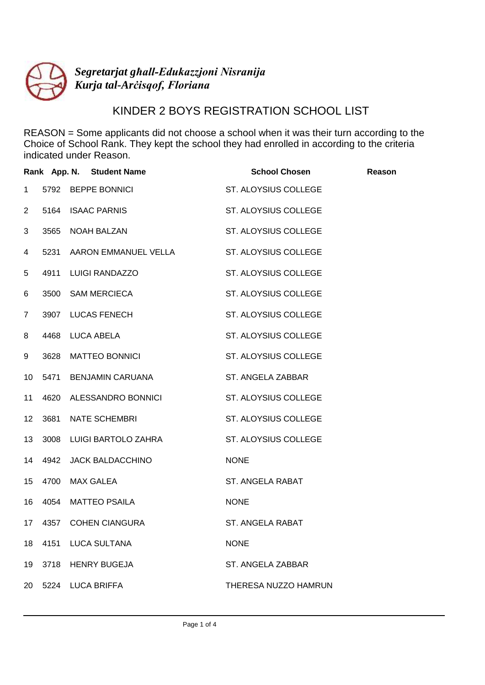

## KINDER 2 BOYS REGISTRATION SCHOOL LIST

|                  | Rank App. N. Student Name | <b>School Chosen</b> | Reason |
|------------------|---------------------------|----------------------|--------|
| $\mathbf 1$      | 5792 BEPPE BONNICI        | ST. ALOYSIUS COLLEGE |        |
| $\overline{2}$   | 5164 ISAAC PARNIS         | ST. ALOYSIUS COLLEGE |        |
| 3                | 3565 NOAH BALZAN          | ST. ALOYSIUS COLLEGE |        |
| 4                | 5231 AARON EMMANUEL VELLA | ST. ALOYSIUS COLLEGE |        |
| 5                | 4911 LUIGI RANDAZZO       | ST. ALOYSIUS COLLEGE |        |
| 6                | 3500 SAM MERCIECA         | ST. ALOYSIUS COLLEGE |        |
| $\overline{7}$   | 3907 LUCAS FENECH         | ST. ALOYSIUS COLLEGE |        |
| 8                | 4468 LUCA ABELA           | ST. ALOYSIUS COLLEGE |        |
| 9                | 3628 MATTEO BONNICI       | ST. ALOYSIUS COLLEGE |        |
| 10 <sup>°</sup>  | 5471 BENJAMIN CARUANA     | ST. ANGELA ZABBAR    |        |
| 11               | 4620 ALESSANDRO BONNICI   | ST. ALOYSIUS COLLEGE |        |
| 12 <sup>°</sup>  | 3681 NATE SCHEMBRI        | ST. ALOYSIUS COLLEGE |        |
| 13 <sup>°</sup>  | 3008 LUIGI BARTOLO ZAHRA  | ST. ALOYSIUS COLLEGE |        |
|                  | 14 4942 JACK BALDACCHINO  | <b>NONE</b>          |        |
| 15 <sub>15</sub> | 4700 MAX GALEA            | ST. ANGELA RABAT     |        |
| 16               | 4054 MATTEO PSAILA        | <b>NONE</b>          |        |
| 17 <sub>1</sub>  | 4357 COHEN CIANGURA       | ST. ANGELA RABAT     |        |
| 18               | 4151 LUCA SULTANA         | <b>NONE</b>          |        |
| 19               | 3718 HENRY BUGEJA         | ST. ANGELA ZABBAR    |        |
|                  | 20 5224 LUCA BRIFFA       | THERESA NUZZO HAMRUN |        |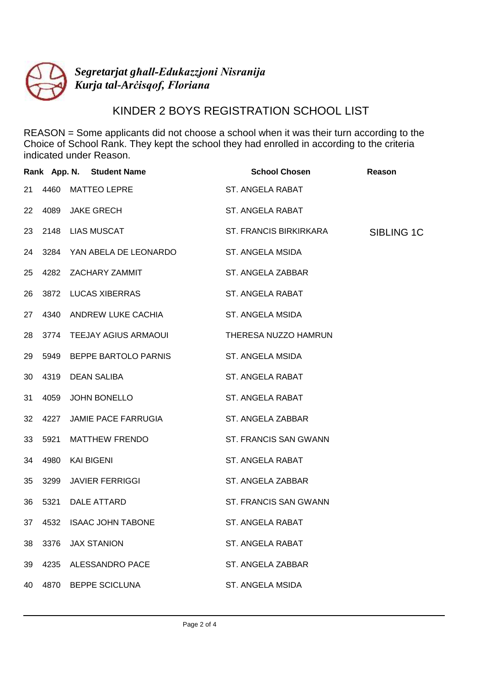

## KINDER 2 BOYS REGISTRATION SCHOOL LIST

|    |      | Rank App. N. Student Name  | <b>School Chosen</b>   | Reason     |
|----|------|----------------------------|------------------------|------------|
| 21 |      | 4460 MATTEO LEPRE          | ST. ANGELA RABAT       |            |
|    |      | 22 4089 JAKE GRECH         | ST. ANGELA RABAT       |            |
|    |      | 23 2148 LIAS MUSCAT        | ST. FRANCIS BIRKIRKARA | SIBLING 1C |
| 24 |      | 3284 YAN ABELA DE LEONARDO | ST. ANGELA MSIDA       |            |
| 25 |      | 4282 ZACHARY ZAMMIT        | ST. ANGELA ZABBAR      |            |
| 26 |      | 3872 LUCAS XIBERRAS        | ST. ANGELA RABAT       |            |
| 27 |      | 4340 ANDREW LUKE CACHIA    | ST. ANGELA MSIDA       |            |
| 28 |      | 3774 TEEJAY AGIUS ARMAOUI  | THERESA NUZZO HAMRUN   |            |
| 29 |      | 5949 BEPPE BARTOLO PARNIS  | ST. ANGELA MSIDA       |            |
| 30 |      | 4319 DEAN SALIBA           | ST. ANGELA RABAT       |            |
| 31 | 4059 | JOHN BONELLO               | ST. ANGELA RABAT       |            |
| 32 | 4227 | JAMIE PACE FARRUGIA        | ST. ANGELA ZABBAR      |            |
| 33 |      | 5921 MATTHEW FRENDO        | ST. FRANCIS SAN GWANN  |            |
|    |      | 34 4980 KAI BIGENI         | ST. ANGELA RABAT       |            |
| 35 | 3299 | JAVIER FERRIGGI            | ST. ANGELA ZABBAR      |            |
| 36 |      | 5321 DALE ATTARD           | ST. FRANCIS SAN GWANN  |            |
|    |      | 37 4532 ISAAC JOHN TABONE  | ST. ANGELA RABAT       |            |
| 38 |      | 3376 JAX STANION           | ST. ANGELA RABAT       |            |
| 39 |      | 4235 ALESSANDRO PACE       | ST. ANGELA ZABBAR      |            |
|    |      | 40 4870 BEPPE SCICLUNA     | ST. ANGELA MSIDA       |            |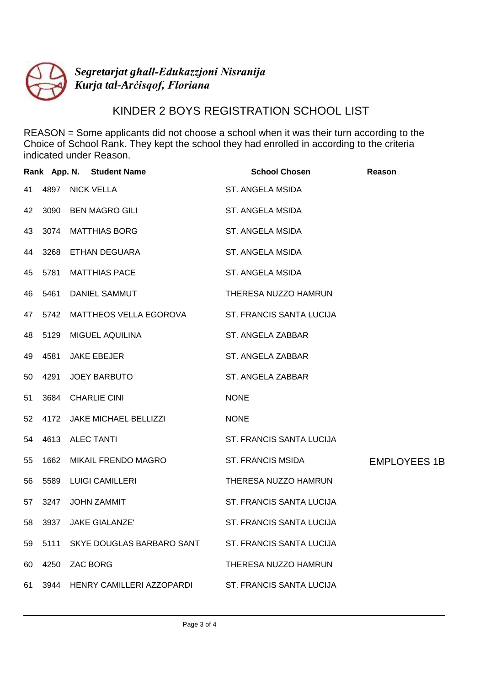

## KINDER 2 BOYS REGISTRATION SCHOOL LIST

|    |      | Rank App. N. Student Name         | <b>School Chosen</b>     | Reason              |
|----|------|-----------------------------------|--------------------------|---------------------|
| 41 | 4897 | NICK VELLA                        | ST. ANGELA MSIDA         |                     |
| 42 | 3090 | BEN MAGRO GILI                    | ST. ANGELA MSIDA         |                     |
| 43 | 3074 | MATTHIAS BORG                     | ST. ANGELA MSIDA         |                     |
| 44 | 3268 | ETHAN DEGUARA                     | ST. ANGELA MSIDA         |                     |
| 45 | 5781 | <b>MATTHIAS PACE</b>              | ST. ANGELA MSIDA         |                     |
| 46 | 5461 | DANIEL SAMMUT                     | THERESA NUZZO HAMRUN     |                     |
| 47 | 5742 | MATTHEOS VELLA EGOROVA            | ST. FRANCIS SANTA LUCIJA |                     |
| 48 | 5129 | MIGUEL AQUILINA                   | ST. ANGELA ZABBAR        |                     |
| 49 | 4581 | <b>JAKE EBEJER</b>                | ST. ANGELA ZABBAR        |                     |
| 50 | 4291 | JOEY BARBUTO                      | ST. ANGELA ZABBAR        |                     |
| 51 | 3684 | <b>CHARLIE CINI</b>               | <b>NONE</b>              |                     |
| 52 | 4172 | JAKE MICHAEL BELLIZZI             | <b>NONE</b>              |                     |
| 54 | 4613 | <b>ALEC TANTI</b>                 | ST. FRANCIS SANTA LUCIJA |                     |
| 55 | 1662 | MIKAIL FRENDO MAGRO               | <b>ST. FRANCIS MSIDA</b> | <b>EMPLOYEES 1B</b> |
| 56 | 5589 | <b>LUIGI CAMILLERI</b>            | THERESA NUZZO HAMRUN     |                     |
| 57 | 3247 | <b>JOHN ZAMMIT</b>                | ST. FRANCIS SANTA LUCIJA |                     |
| 58 | 3937 | <b>JAKE GIALANZE'</b>             | ST. FRANCIS SANTA LUCIJA |                     |
| 59 | 5111 | SKYE DOUGLAS BARBARO SANT         | ST. FRANCIS SANTA LUCIJA |                     |
| 60 | 4250 | <b>ZAC BORG</b>                   | THERESA NUZZO HAMRUN     |                     |
|    |      | 61 3944 HENRY CAMILLERI AZZOPARDI | ST. FRANCIS SANTA LUCIJA |                     |